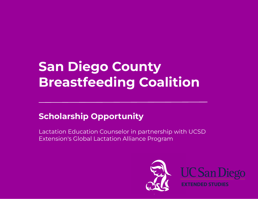## **San Diego County Breastfeeding Coalition**

### **Scholarship Opportunity**

Lactation Education Counselor in partnership with UCSD Extension's Global Lactation Alliance Program

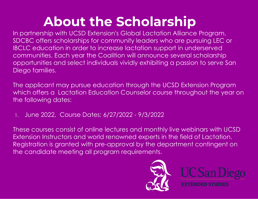## **About the Scholarship**

In partnership with UCSD Extension's Global Lactation Alliance Program, SDCBC offers scholarships for community leaders who are pursuing LEC or IBCLC education in order to increase lactation support in underserved communities. Each year the Coalition will announce several scholarship opportunities and select individuals vividly exhibiting a passion to serve San Diego families.

The applicant may pursue education through the UCSD Extension Program which offers a Lactation Education Counselor course throughout the year on the following dates:

1. June 2022, Course Dates: 6/27/2022 - 9/3/2022

These courses consist of online lectures and monthly live webinars with UCSD Extension Instructors and world renowned experts in the field of Lactation. Registration is granted with pre-approval by the department contingent on the candidate meeting all program requirements.

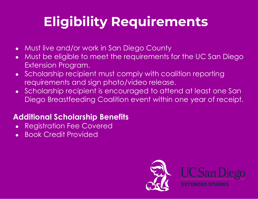# **Eligibility Requirements**

- Must live and/or work in San Diego County
- Must be eligible to meet the requirements for the UC San Diego Extension Program.
- Scholarship recipient must comply with coalition reporting requirements and sign photo/video release.
- Scholarship recipient is encouraged to attend at least one San Diego Breastfeeding Coalition event within one year of receipt.

#### **Additional Scholarship Benefits**

- Registration Fee Covered
- **Book Credit Provided**

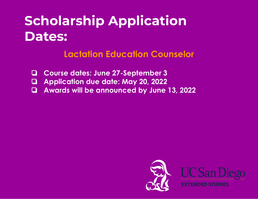## **Scholarship Application Dates:**

### **Lactation Education Counselor**

- ❏ **Course dates: June 27-September 3**
- ❏ **Application due date: May 20, 2022**
- ❏ **Awards will be announced by June 13, 2022**